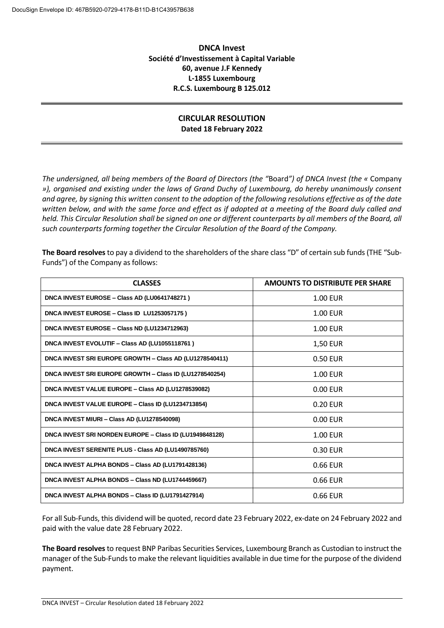## **DNCA Invest Société d'Investissement à Capital Variable 60, avenue J.F Kennedy L-1855 Luxembourg R.C.S. Luxembourg B 125.012**

## **CIRCULAR RESOLUTION Dated 18 February 2022**

*The undersigned, all being members of the Board of Directors (the "*Board*") of DNCA Invest (the «* Company *»), organised and existing under the laws of Grand Duchy of Luxembourg, do hereby unanimously consent and agree, by signing this written consent to the adoption of the following resolutions effective as of the date written below, and with the same force and effect as if adopted at a meeting of the Board duly called and*  held. This Circular Resolution shall be signed on one or different counterparts by all members of the Board, all *such counterparts forming together the Circular Resolution of the Board of the Company.*

**The Board resolves**to pay a dividend to the shareholders of the share class "D" of certain sub funds (THE "Sub-Funds") of the Company as follows:

| <b>CLASSES</b>                                          | <b>AMOUNTS TO DISTRIBUTE PER SHARE</b> |
|---------------------------------------------------------|----------------------------------------|
| DNCA INVEST EUROSE - Class AD (LU0641748271)            | 1.00 EUR                               |
| DNCA INVEST EUROSE - Class ID LU1253057175)             | <b>1.00 EUR</b>                        |
| DNCA INVEST EUROSE - Class ND (LU1234712963)            | 1.00 EUR                               |
| DNCA INVEST EVOLUTIF - Class AD (LU1055118761)          | <b>1,50 EUR</b>                        |
| DNCA INVEST SRI EUROPE GROWTH - Class AD (LU1278540411) | 0.50 EUR                               |
| DNCA INVEST SRI EUROPE GROWTH - Class ID (LU1278540254) | <b>1.00 EUR</b>                        |
| DNCA INVEST VALUE EUROPE - Class AD (LU1278539082)      | 0.00 EUR                               |
| DNCA INVEST VALUE EUROPE - Class ID (LU1234713854)      | $0.20$ FUR                             |
| DNCA INVEST MIURI - Class AD (LU1278540098)             | 0.00 EUR                               |
| DNCA INVEST SRI NORDEN EUROPE - Class ID (LU1949848128) | $1.00$ FUR                             |
| DNCA INVEST SERENITE PLUS - Class AD (LU1490785760)     | 0.30 EUR                               |
| DNCA INVEST ALPHA BONDS - Class AD (LU1791428136)       | 0.66 EUR                               |
| DNCA INVEST ALPHA BONDS - Class ND (LU1744459667)       | 0.66 EUR                               |
| DNCA INVEST ALPHA BONDS - Class ID (LU1791427914)       | 0.66 EUR                               |

For all Sub-Funds, this dividend will be quoted, record date 23 February 2022, ex-date on 24 February 2022 and paid with the value date 28 February 2022.

**The Board resolves**to request BNP Paribas Securities Services, Luxembourg Branch as Custodian to instruct the manager of the Sub-Funds to make the relevant liquidities available in due time for the purpose of the dividend payment.